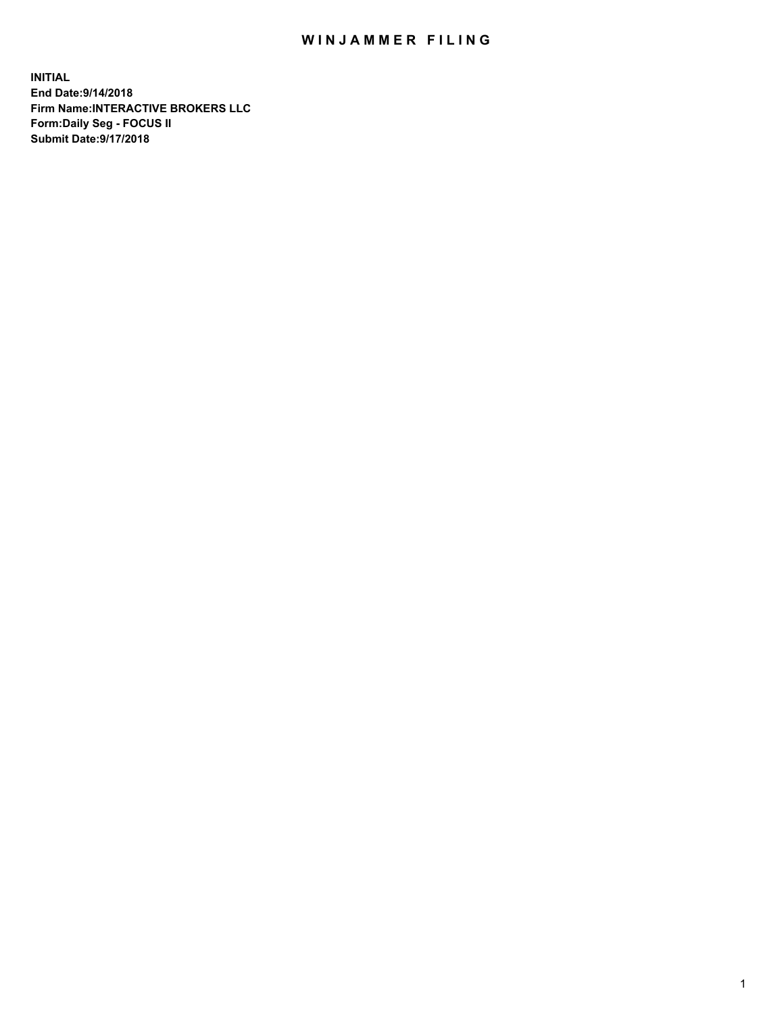## WIN JAMMER FILING

**INITIAL End Date:9/14/2018 Firm Name:INTERACTIVE BROKERS LLC Form:Daily Seg - FOCUS II Submit Date:9/17/2018**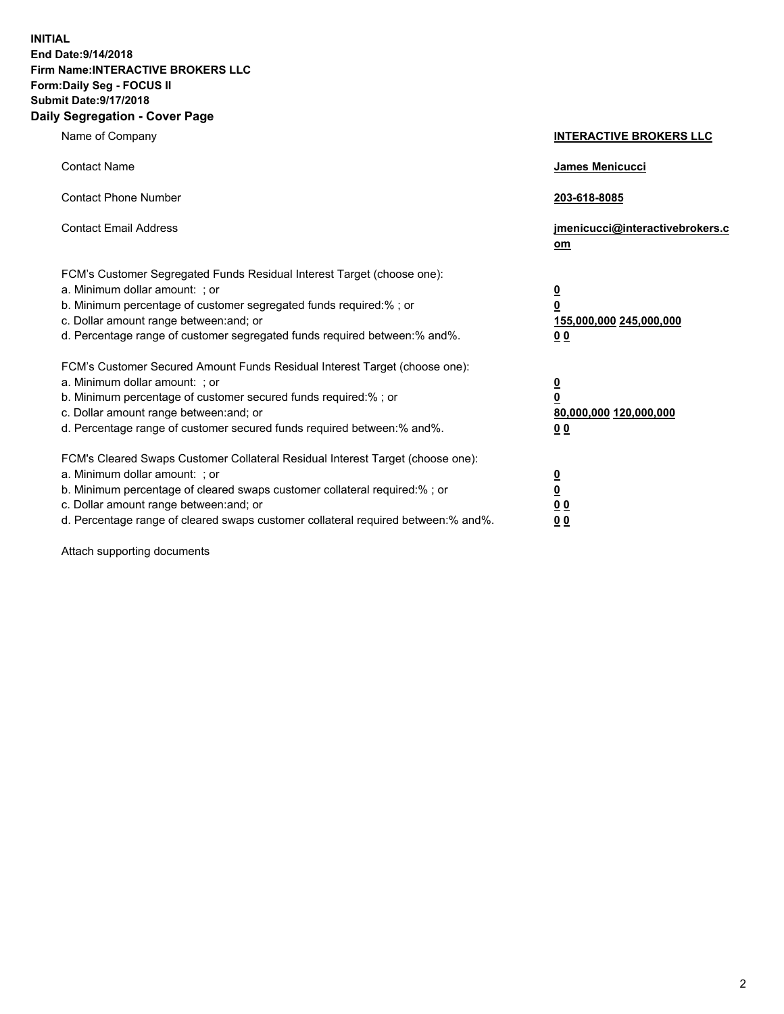**INITIAL End Date:9/14/2018 Firm Name:INTERACTIVE BROKERS LLC Form:Daily Seg - FOCUS II Submit Date:9/17/2018 Daily Segregation - Cover Page**

| Name of Company                                                                                                                                                                                                                                                                                                                | <b>INTERACTIVE BROKERS LLC</b>                                                                  |
|--------------------------------------------------------------------------------------------------------------------------------------------------------------------------------------------------------------------------------------------------------------------------------------------------------------------------------|-------------------------------------------------------------------------------------------------|
| <b>Contact Name</b>                                                                                                                                                                                                                                                                                                            | James Menicucci                                                                                 |
| <b>Contact Phone Number</b>                                                                                                                                                                                                                                                                                                    | 203-618-8085                                                                                    |
| <b>Contact Email Address</b>                                                                                                                                                                                                                                                                                                   | jmenicucci@interactivebrokers.c<br>om                                                           |
| FCM's Customer Segregated Funds Residual Interest Target (choose one):<br>a. Minimum dollar amount: ; or<br>b. Minimum percentage of customer segregated funds required:% ; or<br>c. Dollar amount range between: and; or<br>d. Percentage range of customer segregated funds required between:% and%.                         | $\overline{\mathbf{0}}$<br>$\overline{\mathbf{0}}$<br>155,000,000 245,000,000<br>0 <sub>0</sub> |
| FCM's Customer Secured Amount Funds Residual Interest Target (choose one):<br>a. Minimum dollar amount: ; or<br>b. Minimum percentage of customer secured funds required:% ; or<br>c. Dollar amount range between: and; or<br>d. Percentage range of customer secured funds required between:% and%.                           | $\overline{\mathbf{0}}$<br>0<br>80,000,000 120,000,000<br>0 <sub>0</sub>                        |
| FCM's Cleared Swaps Customer Collateral Residual Interest Target (choose one):<br>a. Minimum dollar amount: ; or<br>b. Minimum percentage of cleared swaps customer collateral required:% ; or<br>c. Dollar amount range between: and; or<br>d. Percentage range of cleared swaps customer collateral required between:% and%. | $\overline{\mathbf{0}}$<br><u>0</u><br>$\underline{0}$ $\underline{0}$<br>00                    |

Attach supporting documents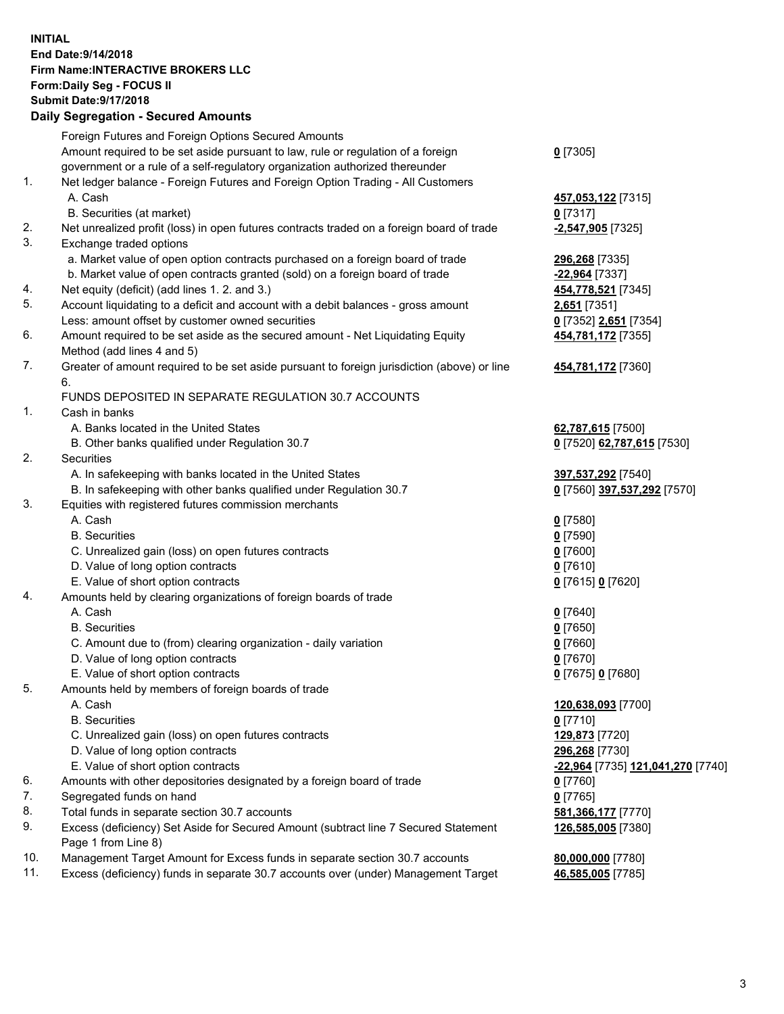## **INITIAL End Date:9/14/2018 Firm Name:INTERACTIVE BROKERS LLC Form:Daily Seg - FOCUS II Submit Date:9/17/2018 Daily Segregation - Secured Amounts**

|     | Daily Ocglegation - Occarea Anioants                                                                       |                                   |
|-----|------------------------------------------------------------------------------------------------------------|-----------------------------------|
|     | Foreign Futures and Foreign Options Secured Amounts                                                        |                                   |
|     | Amount required to be set aside pursuant to law, rule or regulation of a foreign                           | $0$ [7305]                        |
|     | government or a rule of a self-regulatory organization authorized thereunder                               |                                   |
| 1.  | Net ledger balance - Foreign Futures and Foreign Option Trading - All Customers                            |                                   |
|     | A. Cash                                                                                                    | 457,053,122 [7315]                |
|     | B. Securities (at market)                                                                                  | $0$ [7317]                        |
| 2.  | Net unrealized profit (loss) in open futures contracts traded on a foreign board of trade                  | -2,547,905 [7325]                 |
| 3.  | Exchange traded options                                                                                    |                                   |
|     | a. Market value of open option contracts purchased on a foreign board of trade                             | 296,268 [7335]                    |
|     | b. Market value of open contracts granted (sold) on a foreign board of trade                               | -22,964 [7337]                    |
| 4.  | Net equity (deficit) (add lines 1.2. and 3.)                                                               | 454,778,521 [7345]                |
| 5.  | Account liquidating to a deficit and account with a debit balances - gross amount                          | <b>2,651</b> [7351]               |
|     | Less: amount offset by customer owned securities                                                           | 0 [7352] 2,651 [7354]             |
| 6.  | Amount required to be set aside as the secured amount - Net Liquidating Equity                             | 454,781,172 [7355]                |
|     | Method (add lines 4 and 5)                                                                                 |                                   |
| 7.  | Greater of amount required to be set aside pursuant to foreign jurisdiction (above) or line                | 454,781,172 [7360]                |
|     | 6.                                                                                                         |                                   |
|     | FUNDS DEPOSITED IN SEPARATE REGULATION 30.7 ACCOUNTS                                                       |                                   |
| 1.  | Cash in banks                                                                                              |                                   |
|     | A. Banks located in the United States                                                                      | 62,787,615 [7500]                 |
|     | B. Other banks qualified under Regulation 30.7                                                             | 0 [7520] 62,787,615 [7530]        |
| 2.  | Securities                                                                                                 |                                   |
|     | A. In safekeeping with banks located in the United States                                                  | 397,537,292 [7540]                |
|     | B. In safekeeping with other banks qualified under Regulation 30.7                                         | 0 [7560] 397,537,292 [7570]       |
| 3.  | Equities with registered futures commission merchants                                                      |                                   |
|     | A. Cash                                                                                                    | $0$ [7580]                        |
|     | <b>B.</b> Securities                                                                                       | $0$ [7590]                        |
|     | C. Unrealized gain (loss) on open futures contracts                                                        | $0$ [7600]                        |
|     | D. Value of long option contracts                                                                          | $0$ [7610]                        |
|     | E. Value of short option contracts                                                                         | 0 [7615] 0 [7620]                 |
| 4.  | Amounts held by clearing organizations of foreign boards of trade                                          |                                   |
|     | A. Cash                                                                                                    | $0$ [7640]                        |
|     | <b>B.</b> Securities                                                                                       | $0$ [7650]                        |
|     | C. Amount due to (from) clearing organization - daily variation                                            | $0$ [7660]                        |
|     | D. Value of long option contracts                                                                          | $0$ [7670]                        |
|     | E. Value of short option contracts                                                                         | 0 [7675] 0 [7680]                 |
| 5.  | Amounts held by members of foreign boards of trade                                                         |                                   |
|     | A. Cash                                                                                                    | 120,638,093 [7700]                |
|     | <b>B.</b> Securities                                                                                       | $0$ [7710]                        |
|     | C. Unrealized gain (loss) on open futures contracts                                                        | 129,873 [7720]                    |
|     | D. Value of long option contracts                                                                          | 296,268 [7730]                    |
|     | E. Value of short option contracts                                                                         | -22,964 [7735] 121,041,270 [7740] |
| 6.  | Amounts with other depositories designated by a foreign board of trade                                     | $0$ [7760]                        |
| 7.  | Segregated funds on hand                                                                                   | $0$ [7765]                        |
| 8.  | Total funds in separate section 30.7 accounts                                                              | 581,366,177 [7770]                |
| 9.  | Excess (deficiency) Set Aside for Secured Amount (subtract line 7 Secured Statement<br>Page 1 from Line 8) | 126,585,005 [7380]                |
| 10. | Management Target Amount for Excess funds in separate section 30.7 accounts                                | 80,000,000 [7780]                 |
| 11. | Excess (deficiency) funds in separate 30.7 accounts over (under) Management Target                         | 46,585,005 [7785]                 |
|     |                                                                                                            |                                   |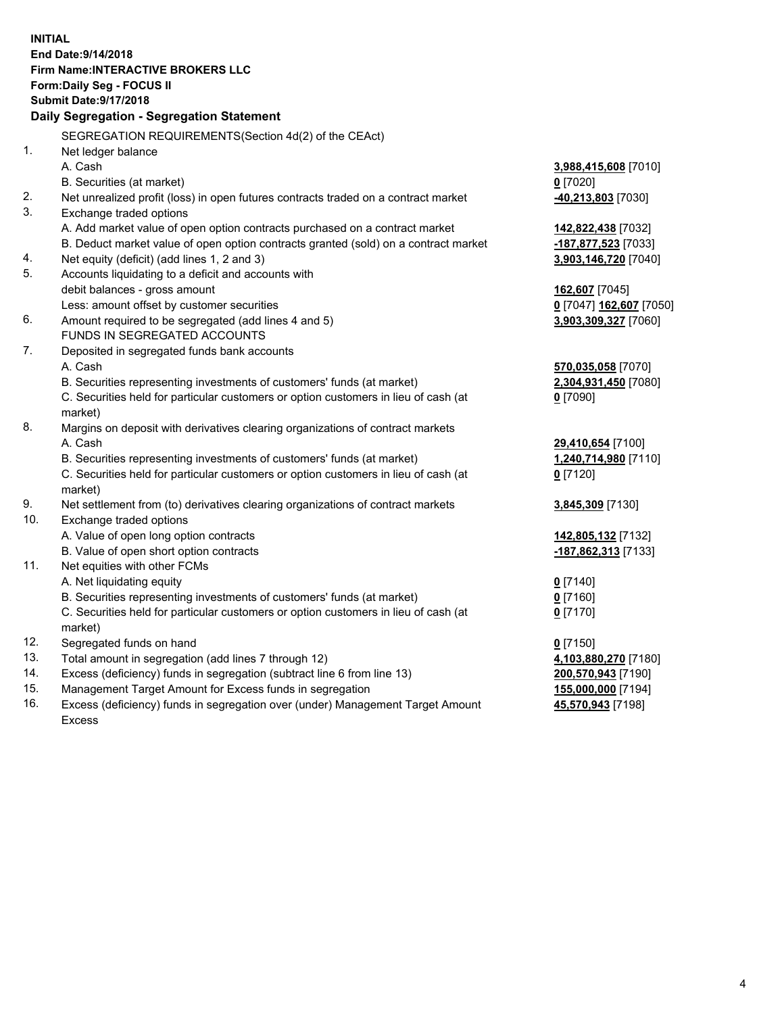**INITIAL End Date:9/14/2018 Firm Name:INTERACTIVE BROKERS LLC Form:Daily Seg - FOCUS II Submit Date:9/17/2018 Daily Segregation - Segregation Statement** SEGREGATION REQUIREMENTS(Section 4d(2) of the CEAct) 1. Net ledger balance A. Cash **3,988,415,608** [7010] B. Securities (at market) **0** [7020] 2. Net unrealized profit (loss) in open futures contracts traded on a contract market **-40,213,803** [7030] 3. Exchange traded options A. Add market value of open option contracts purchased on a contract market **142,822,438** [7032] B. Deduct market value of open option contracts granted (sold) on a contract market **-187,877,523** [7033] 4. Net equity (deficit) (add lines 1, 2 and 3) **3,903,146,720** [7040] 5. Accounts liquidating to a deficit and accounts with debit balances - gross amount **162,607** [7045] Less: amount offset by customer securities **0** [7047] **162,607** [7050] 6. Amount required to be segregated (add lines 4 and 5) **3,903,309,327** [7060] FUNDS IN SEGREGATED ACCOUNTS 7. Deposited in segregated funds bank accounts A. Cash **570,035,058** [7070] B. Securities representing investments of customers' funds (at market) **2,304,931,450** [7080] C. Securities held for particular customers or option customers in lieu of cash (at market) **0** [7090] 8. Margins on deposit with derivatives clearing organizations of contract markets A. Cash **29,410,654** [7100] B. Securities representing investments of customers' funds (at market) **1,240,714,980** [7110] C. Securities held for particular customers or option customers in lieu of cash (at market) **0** [7120] 9. Net settlement from (to) derivatives clearing organizations of contract markets **3,845,309** [7130] 10. Exchange traded options A. Value of open long option contracts **142,805,132** [7132] B. Value of open short option contracts **-187,862,313** [7133] 11. Net equities with other FCMs A. Net liquidating equity **0** [7140] B. Securities representing investments of customers' funds (at market) **0** [7160] C. Securities held for particular customers or option customers in lieu of cash (at market) **0** [7170] 12. Segregated funds on hand **0** [7150] 13. Total amount in segregation (add lines 7 through 12) **4,103,880,270** [7180] 14. Excess (deficiency) funds in segregation (subtract line 6 from line 13) **200,570,943** [7190] 15. Management Target Amount for Excess funds in segregation **155,000,000** [7194] **45,570,943** [7198]

16. Excess (deficiency) funds in segregation over (under) Management Target Amount Excess